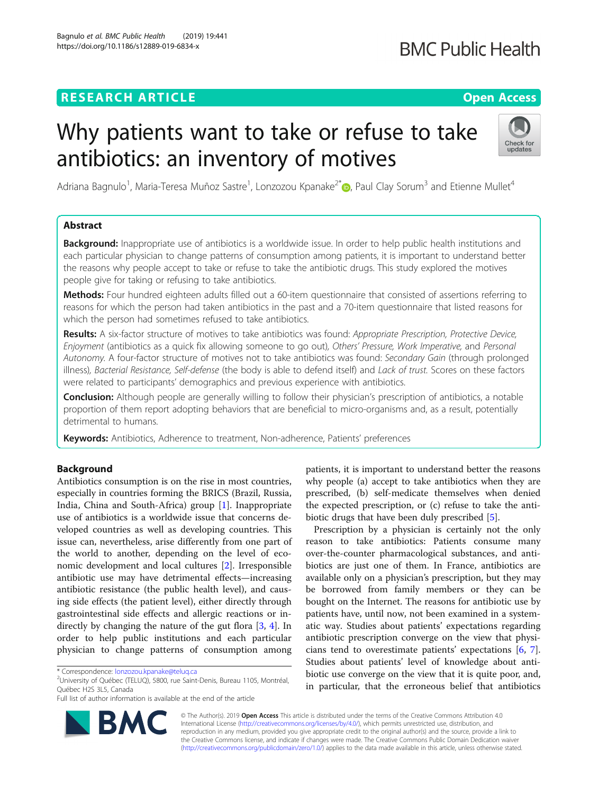# **RESEARCH ARTICLE Example 2018 12:30 THE Open Access**

# Why patients want to take or refuse to take antibiotics: an inventory of motives

Adriana Bagnulo<sup>1</sup>, Maria-Teresa Muñoz Sastre<sup>1</sup>, Lonzozou Kpanake<sup>2[\\*](http://orcid.org/0000-0002-7002-365X)</sup>. , Paul Clay Sorum<sup>3</sup> and Etienne Mullet<sup>4</sup>

# Abstract

Background: Inappropriate use of antibiotics is a worldwide issue. In order to help public health institutions and each particular physician to change patterns of consumption among patients, it is important to understand better the reasons why people accept to take or refuse to take the antibiotic drugs. This study explored the motives people give for taking or refusing to take antibiotics.

Methods: Four hundred eighteen adults filled out a 60-item questionnaire that consisted of assertions referring to reasons for which the person had taken antibiotics in the past and a 70-item questionnaire that listed reasons for which the person had sometimes refused to take antibiotics.

Results: A six-factor structure of motives to take antibiotics was found: Appropriate Prescription, Protective Device, Enjoyment (antibiotics as a quick fix allowing someone to go out), Others' Pressure, Work Imperative, and Personal Autonomy. A four-factor structure of motives not to take antibiotics was found: Secondary Gain (through prolonged illness), Bacterial Resistance, Self-defense (the body is able to defend itself) and Lack of trust. Scores on these factors were related to participants' demographics and previous experience with antibiotics.

**Conclusion:** Although people are generally willing to follow their physician's prescription of antibiotics, a notable proportion of them report adopting behaviors that are beneficial to micro-organisms and, as a result, potentially detrimental to humans.

Keywords: Antibiotics, Adherence to treatment, Non-adherence, Patients' preferences

# Background

Antibiotics consumption is on the rise in most countries, especially in countries forming the BRICS (Brazil, Russia, India, China and South-Africa) group [[1\]](#page-7-0). Inappropriate use of antibiotics is a worldwide issue that concerns developed countries as well as developing countries. This issue can, nevertheless, arise differently from one part of the world to another, depending on the level of economic development and local cultures [[2\]](#page-7-0). Irresponsible antibiotic use may have detrimental effects—increasing antibiotic resistance (the public health level), and causing side effects (the patient level), either directly through gastrointestinal side effects and allergic reactions or indirectly by changing the nature of the gut flora [\[3,](#page-7-0) [4](#page-7-0)]. In order to help public institutions and each particular physician to change patterns of consumption among

<sup>2</sup>University of Québec (TELUQ), 5800, rue Saint-Denis, Bureau 1105, Montréal, Québec H2S 3L5, Canada

© The Author(s). 2019 Open Access This article is distributed under the terms of the Creative Commons Attribution 4.0 International License [\(http://creativecommons.org/licenses/by/4.0/](http://creativecommons.org/licenses/by/4.0/)), which permits unrestricted use, distribution, and reproduction in any medium, provided you give appropriate credit to the original author(s) and the source, provide a link to the Creative Commons license, and indicate if changes were made. The Creative Commons Public Domain Dedication waiver [\(http://creativecommons.org/publicdomain/zero/1.0/](http://creativecommons.org/publicdomain/zero/1.0/)) applies to the data made available in this article, unless otherwise stated.

patients, it is important to understand better the reasons why people (a) accept to take antibiotics when they are prescribed, (b) self-medicate themselves when denied the expected prescription, or (c) refuse to take the antibiotic drugs that have been duly prescribed [[5\]](#page-7-0).

Prescription by a physician is certainly not the only reason to take antibiotics: Patients consume many over-the-counter pharmacological substances, and antibiotics are just one of them. In France, antibiotics are available only on a physician's prescription, but they may be borrowed from family members or they can be bought on the Internet. The reasons for antibiotic use by patients have, until now, not been examined in a systematic way. Studies about patients' expectations regarding antibiotic prescription converge on the view that physicians tend to overestimate patients' expectations [\[6,](#page-7-0) [7](#page-7-0)]. Studies about patients' level of knowledge about antibiotic use converge on the view that it is quite poor, and, in particular, that the erroneous belief that antibiotics





<sup>\*</sup> Correspondence: [lonzozou.kpanake@teluq.ca](mailto:lonzozou.kpanake@teluq.ca) <sup>2</sup>

Full list of author information is available at the end of the article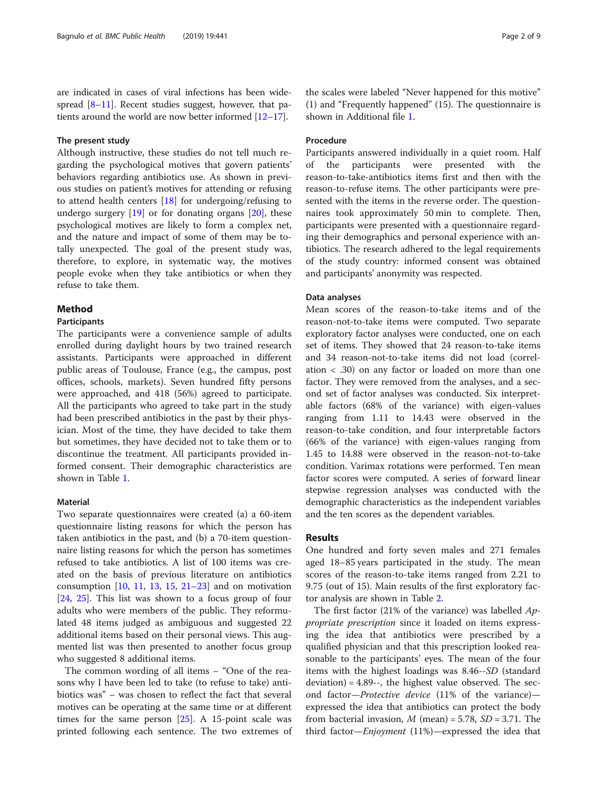are indicated in cases of viral infections has been widespread [\[8](#page-7-0)–[11](#page-7-0)]. Recent studies suggest, however, that patients around the world are now better informed [[12](#page-7-0)–[17\]](#page-7-0).

# The present study

Although instructive, these studies do not tell much regarding the psychological motives that govern patients' behaviors regarding antibiotics use. As shown in previous studies on patient's motives for attending or refusing to attend health centers [\[18](#page-7-0)] for undergoing/refusing to undergo surgery [\[19](#page-8-0)] or for donating organs [\[20](#page-8-0)], these psychological motives are likely to form a complex net, and the nature and impact of some of them may be totally unexpected. The goal of the present study was, therefore, to explore, in systematic way, the motives people evoke when they take antibiotics or when they refuse to take them.

#### Method

#### Participants

The participants were a convenience sample of adults enrolled during daylight hours by two trained research assistants. Participants were approached in different public areas of Toulouse, France (e.g., the campus, post offices, schools, markets). Seven hundred fifty persons were approached, and 418 (56%) agreed to participate. All the participants who agreed to take part in the study had been prescribed antibiotics in the past by their physician. Most of the time, they have decided to take them but sometimes, they have decided not to take them or to discontinue the treatment. All participants provided informed consent. Their demographic characteristics are shown in Table [1.](#page-2-0)

#### **Material**

Two separate questionnaires were created (a) a 60-item questionnaire listing reasons for which the person has taken antibiotics in the past, and (b) a 70-item questionnaire listing reasons for which the person has sometimes refused to take antibiotics. A list of 100 items was created on the basis of previous literature on antibiotics consumption  $[10, 11, 13, 15, 21-23]$  $[10, 11, 13, 15, 21-23]$  $[10, 11, 13, 15, 21-23]$  $[10, 11, 13, 15, 21-23]$  $[10, 11, 13, 15, 21-23]$  $[10, 11, 13, 15, 21-23]$  $[10, 11, 13, 15, 21-23]$  $[10, 11, 13, 15, 21-23]$  $[10, 11, 13, 15, 21-23]$  $[10, 11, 13, 15, 21-23]$  $[10, 11, 13, 15, 21-23]$  $[10, 11, 13, 15, 21-23]$  and on motivation [[24,](#page-8-0) [25](#page-8-0)]. This list was shown to a focus group of four adults who were members of the public. They reformulated 48 items judged as ambiguous and suggested 22 additional items based on their personal views. This augmented list was then presented to another focus group who suggested 8 additional items.

The common wording of all items – "One of the reasons why I have been led to take (to refuse to take) antibiotics was" – was chosen to reflect the fact that several motives can be operating at the same time or at different times for the same person  $[25]$  $[25]$ . A 15-point scale was printed following each sentence. The two extremes of

the scales were labeled "Never happened for this motive" (1) and "Frequently happened" (15). The questionnaire is shown in Additional file [1](#page-7-0).

# Procedure

Participants answered individually in a quiet room. Half of the participants were presented with the reason-to-take-antibiotics items first and then with the reason-to-refuse items. The other participants were presented with the items in the reverse order. The questionnaires took approximately 50 min to complete. Then, participants were presented with a questionnaire regarding their demographics and personal experience with antibiotics. The research adhered to the legal requirements of the study country: informed consent was obtained and participants' anonymity was respected.

#### Data analyses

Mean scores of the reason-to-take items and of the reason-not-to-take items were computed. Two separate exploratory factor analyses were conducted, one on each set of items. They showed that 24 reason-to-take items and 34 reason-not-to-take items did not load (correlation < .30) on any factor or loaded on more than one factor. They were removed from the analyses, and a second set of factor analyses was conducted. Six interpretable factors (68% of the variance) with eigen-values ranging from 1.11 to 14.43 were observed in the reason-to-take condition, and four interpretable factors (66% of the variance) with eigen-values ranging from 1.45 to 14.88 were observed in the reason-not-to-take condition. Varimax rotations were performed. Ten mean factor scores were computed. A series of forward linear stepwise regression analyses was conducted with the demographic characteristics as the independent variables and the ten scores as the dependent variables.

### Results

One hundred and forty seven males and 271 females aged 18–85 years participated in the study. The mean scores of the reason-to-take items ranged from 2.21 to 9.75 (out of 15). Main results of the first exploratory factor analysis are shown in Table [2.](#page-4-0)

The first factor (21% of the variance) was labelled  $Ap$ propriate prescription since it loaded on items expressing the idea that antibiotics were prescribed by a qualified physician and that this prescription looked reasonable to the participants' eyes. The mean of the four items with the highest loadings was 8.46--SD (standard deviation) = 4.89--, the highest value observed. The second factor—*Protective device*  $(11\% \text{ of the variance})$  expressed the idea that antibiotics can protect the body from bacterial invasion, M (mean) = 5.78,  $SD = 3.71$ . The third factor—Enjoyment (11%)—expressed the idea that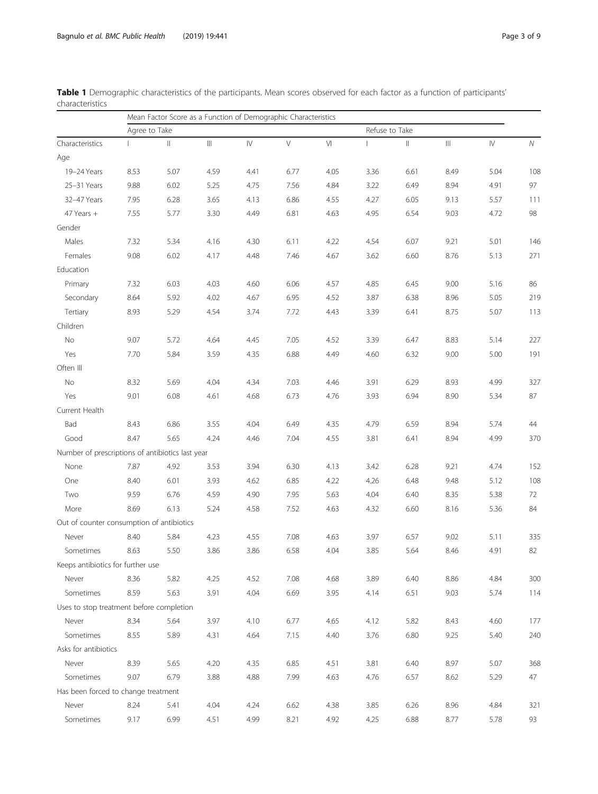|                                                  |               |             |      | Mean Factor Score as a Function of Demographic Characteristics |      |                |      |                |         |                        |              |
|--------------------------------------------------|---------------|-------------|------|----------------------------------------------------------------|------|----------------|------|----------------|---------|------------------------|--------------|
|                                                  | Agree to Take |             |      |                                                                |      |                |      | Refuse to Take |         |                        |              |
| Characteristics                                  |               | $\parallel$ |      | ${\sf IV}$                                                     | V    | V <sub>l</sub> |      | $\parallel$    | $\  \ $ | $\mathsf{I}\mathsf{V}$ | $\mathcal N$ |
| Age                                              |               |             |      |                                                                |      |                |      |                |         |                        |              |
| 19-24 Years                                      | 8.53          | 5.07        | 4.59 | 4.41                                                           | 6.77 | 4.05           | 3.36 | 6.61           | 8.49    | 5.04                   | 108          |
| 25-31 Years                                      | 9.88          | 6.02        | 5.25 | 4.75                                                           | 7.56 | 4.84           | 3.22 | 6.49           | 8.94    | 4.91                   | 97           |
| 32-47 Years                                      | 7.95          | 6.28        | 3.65 | 4.13                                                           | 6.86 | 4.55           | 4.27 | 6.05           | 9.13    | 5.57                   | 111          |
| 47 Years +                                       | 7.55          | 5.77        | 3.30 | 4.49                                                           | 6.81 | 4.63           | 4.95 | 6.54           | 9.03    | 4.72                   | 98           |
| Gender                                           |               |             |      |                                                                |      |                |      |                |         |                        |              |
| Males                                            | 7.32          | 5.34        | 4.16 | 4.30                                                           | 6.11 | 4.22           | 4.54 | 6.07           | 9.21    | 5.01                   | 146          |
| Females                                          | 9.08          | 6.02        | 4.17 | 4.48                                                           | 7.46 | 4.67           | 3.62 | 6.60           | 8.76    | 5.13                   | 271          |
| Education                                        |               |             |      |                                                                |      |                |      |                |         |                        |              |
| Primary                                          | 7.32          | 6.03        | 4.03 | 4.60                                                           | 6.06 | 4.57           | 4.85 | 6.45           | 9.00    | 5.16                   | 86           |
| Secondary                                        | 8.64          | 5.92        | 4.02 | 4.67                                                           | 6.95 | 4.52           | 3.87 | 6.38           | 8.96    | 5.05                   | 219          |
| Tertiary                                         | 8.93          | 5.29        | 4.54 | 3.74                                                           | 7.72 | 4.43           | 3.39 | 6.41           | 8.75    | 5.07                   | 113          |
| Children                                         |               |             |      |                                                                |      |                |      |                |         |                        |              |
| No                                               | 9.07          | 5.72        | 4.64 | 4.45                                                           | 7.05 | 4.52           | 3.39 | 6.47           | 8.83    | 5.14                   | 227          |
| Yes                                              | 7.70          | 5.84        | 3.59 | 4.35                                                           | 6.88 | 4.49           | 4.60 | 6.32           | 9.00    | 5.00                   | 191          |
| Often III                                        |               |             |      |                                                                |      |                |      |                |         |                        |              |
| No                                               | 8.32          | 5.69        | 4.04 | 4.34                                                           | 7.03 | 4.46           | 3.91 | 6.29           | 8.93    | 4.99                   | 327          |
| Yes                                              | 9.01          | 6.08        | 4.61 | 4.68                                                           | 6.73 | 4.76           | 3.93 | 6.94           | 8.90    | 5.34                   | 87           |
| Current Health                                   |               |             |      |                                                                |      |                |      |                |         |                        |              |
| Bad                                              | 8.43          | 6.86        | 3.55 | 4.04                                                           | 6.49 | 4.35           | 4.79 | 6.59           | 8.94    | 5.74                   | 44           |
| Good                                             | 8.47          | 5.65        | 4.24 | 4.46                                                           | 7.04 | 4.55           | 3.81 | 6.41           | 8.94    | 4.99                   | 370          |
| Number of prescriptions of antibiotics last year |               |             |      |                                                                |      |                |      |                |         |                        |              |
| None                                             | 7.87          | 4.92        | 3.53 | 3.94                                                           | 6.30 | 4.13           | 3.42 | 6.28           | 9.21    | 4.74                   | 152          |
| One                                              | 8.40          | 6.01        | 3.93 | 4.62                                                           | 6.85 | 4.22           | 4.26 | 6.48           | 9.48    | 5.12                   | 108          |
| Two                                              | 9.59          | 6.76        | 4.59 | 4.90                                                           | 7.95 | 5.63           | 4.04 | 6.40           | 8.35    | 5.38                   | 72           |
| More                                             | 8.69          | 6.13        | 5.24 | 4.58                                                           | 7.52 | 4.63           | 4.32 | 6.60           | 8.16    | 5.36                   | 84           |
| Out of counter consumption of antibiotics        |               |             |      |                                                                |      |                |      |                |         |                        |              |
| Never                                            | 8.40          | 5.84        | 4.23 | 4.55                                                           | 7.08 | 4.63           | 3.97 | 6.57           | 9.02    | 5.11                   | 335          |
| Sometimes                                        | 8.63          | 5.50        | 3.86 | 3.86                                                           | 6.58 | 4.04           | 3.85 | 5.64           | 8.46    | 4.91                   | 82           |
| Keeps antibiotics for further use                |               |             |      |                                                                |      |                |      |                |         |                        |              |
| Never                                            | 8.36          | 5.82        | 4.25 | 4.52                                                           | 7.08 | 4.68           | 3.89 | 6.40           | 8.86    | 4.84                   | 300          |
| Sometimes                                        | 8.59          | 5.63        | 3.91 | 4.04                                                           | 6.69 | 3.95           | 4.14 | 6.51           | 9.03    | 5.74                   | 114          |
| Uses to stop treatment before completion         |               |             |      |                                                                |      |                |      |                |         |                        |              |
| Never                                            | 8.34          | 5.64        | 3.97 | 4.10                                                           | 6.77 | 4.65           | 4.12 | 5.82           | 8.43    | 4.60                   | 177          |
| Sometimes                                        | 8.55          | 5.89        | 4.31 | 4.64                                                           | 7.15 | 4.40           | 3.76 | 6.80           | 9.25    | 5.40                   | 240          |
| Asks for antibiotics                             |               |             |      |                                                                |      |                |      |                |         |                        |              |
| Never                                            | 8.39          | 5.65        | 4.20 | 4.35                                                           | 6.85 | 4.51           | 3.81 | 6.40           | 8.97    | 5.07                   | 368          |
| Sometimes                                        | 9.07          | 6.79        | 3.88 | 4.88                                                           | 7.99 | 4.63           | 4.76 | 6.57           | 8.62    | 5.29                   | 47           |
| Has been forced to change treatment              |               |             |      |                                                                |      |                |      |                |         |                        |              |
| Never                                            | 8.24          | 5.41        | 4.04 | 4.24                                                           | 6.62 | 4.38           | 3.85 | 6.26           | 8.96    | 4.84                   | 321          |
| Sometimes                                        | 9.17          | 6.99        | 4.51 | 4.99                                                           | 8.21 | 4.92           | 4.25 | 6.88           | 8.77    | 5.78                   | 93           |

<span id="page-2-0"></span>Table 1 Demographic characteristics of the participants. Mean scores observed for each factor as a function of participants' characteristics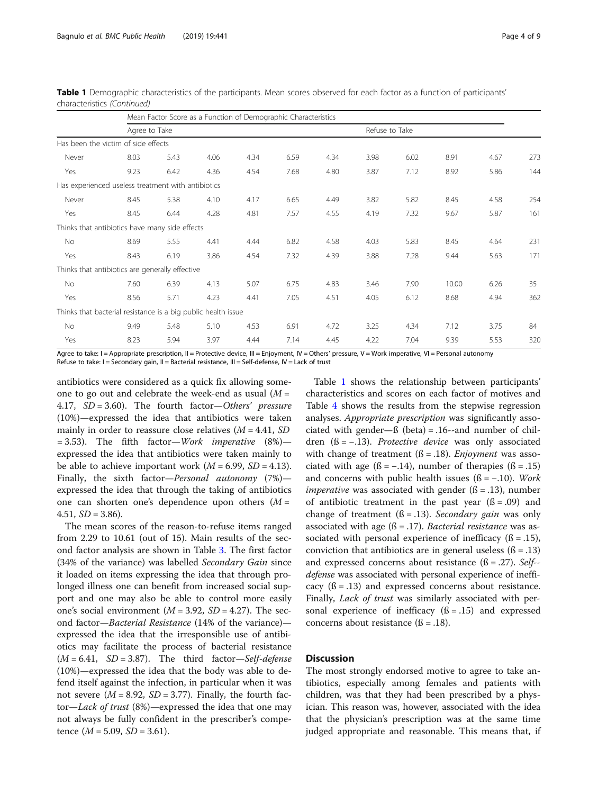|       |                                                               |      |      |      | Mean Factor Score as a Function of Demographic Characteristics |      |                |      |       |      |     |
|-------|---------------------------------------------------------------|------|------|------|----------------------------------------------------------------|------|----------------|------|-------|------|-----|
|       | Agree to Take                                                 |      |      |      |                                                                |      | Refuse to Take |      |       |      |     |
|       | Has been the victim of side effects                           |      |      |      |                                                                |      |                |      |       |      |     |
| Never | 8.03                                                          | 5.43 | 4.06 | 4.34 | 6.59                                                           | 4.34 | 3.98           | 6.02 | 8.91  | 4.67 | 273 |
| Yes   | 9.23                                                          | 6.42 | 4.36 | 4.54 | 7.68                                                           | 4.80 | 3.87           | 7.12 | 8.92  | 5.86 | 144 |
|       | Has experienced useless treatment with antibiotics            |      |      |      |                                                                |      |                |      |       |      |     |
| Never | 8.45                                                          | 5.38 | 4.10 | 4.17 | 6.65                                                           | 4.49 | 3.82           | 5.82 | 8.45  | 4.58 | 254 |
| Yes   | 8.45                                                          | 6.44 | 4.28 | 4.81 | 7.57                                                           | 4.55 | 4.19           | 7.32 | 9.67  | 5.87 | 161 |
|       | Thinks that antibiotics have many side effects                |      |      |      |                                                                |      |                |      |       |      |     |
| No    | 8.69                                                          | 5.55 | 4.41 | 4.44 | 6.82                                                           | 4.58 | 4.03           | 5.83 | 8.45  | 4.64 | 231 |
| Yes   | 8.43                                                          | 6.19 | 3.86 | 4.54 | 7.32                                                           | 4.39 | 3.88           | 7.28 | 9.44  | 5.63 | 171 |
|       | Thinks that antibiotics are generally effective               |      |      |      |                                                                |      |                |      |       |      |     |
| No    | 7.60                                                          | 6.39 | 4.13 | 5.07 | 6.75                                                           | 4.83 | 3.46           | 7.90 | 10.00 | 6.26 | 35  |
| Yes   | 8.56                                                          | 5.71 | 4.23 | 4.41 | 7.05                                                           | 4.51 | 4.05           | 6.12 | 8.68  | 4.94 | 362 |
|       | Thinks that bacterial resistance is a big public health issue |      |      |      |                                                                |      |                |      |       |      |     |
| No    | 9.49                                                          | 5.48 | 5.10 | 4.53 | 6.91                                                           | 4.72 | 3.25           | 4.34 | 7.12  | 3.75 | 84  |
| Yes   | 8.23                                                          | 5.94 | 3.97 | 4.44 | 7.14                                                           | 4.45 | 4.22           | 7.04 | 9.39  | 5.53 | 320 |

Table 1 Demographic characteristics of the participants. Mean scores observed for each factor as a function of participants' characteristics (Continued)

Agree to take: I = Appropriate prescription, II = Protective device, III = Enjoyment, IV = Others' pressure, V = Work imperative, VI = Personal autonomy Refuse to take: I = Secondary gain, II = Bacterial resistance, III = Self-defense, IV = Lack of trust

antibiotics were considered as a quick fix allowing someone to go out and celebrate the week-end as usual  $(M =$ 4.17,  $SD = 3.60$ ). The fourth factor-Others' pressure (10%)—expressed the idea that antibiotics were taken mainly in order to reassure close relatives  $(M = 4.41, SD)$  $= 3.53$ ). The fifth factor—Work imperative  $(8\%)$  expressed the idea that antibiotics were taken mainly to be able to achieve important work  $(M = 6.99, SD = 4.13)$ . Finally, the sixth factor—Personal autonomy (7%) expressed the idea that through the taking of antibiotics one can shorten one's dependence upon others  $(M =$ 4.51,  $SD = 3.86$ ).

The mean scores of the reason-to-refuse items ranged from 2.29 to 10.61 (out of 15). Main results of the second factor analysis are shown in Table [3](#page-5-0). The first factor (34% of the variance) was labelled Secondary Gain since it loaded on items expressing the idea that through prolonged illness one can benefit from increased social support and one may also be able to control more easily one's social environment ( $M = 3.92$ ,  $SD = 4.27$ ). The second factor—Bacterial Resistance (14% of the variance) expressed the idea that the irresponsible use of antibiotics may facilitate the process of bacterial resistance  $(M = 6.41, SD = 3.87)$ . The third factor—Self-defense (10%)—expressed the idea that the body was able to defend itself against the infection, in particular when it was not severe ( $M = 8.92$ ,  $SD = 3.77$ ). Finally, the fourth factor—Lack of trust (8%)—expressed the idea that one may not always be fully confident in the prescriber's competence  $(M = 5.09, SD = 3.61)$ .

Table [1](#page-2-0) shows the relationship between participants' characteristics and scores on each factor of motives and Table [4](#page-6-0) shows the results from the stepwise regression analyses. Appropriate prescription was significantly associated with gender— $\beta$  (beta) = .16--and number of children  $(6 = -13)$ . Protective device was only associated with change of treatment  $(6 = .18)$ . *Enjoyment* was associated with age  $(6 = -0.14)$ , number of therapies  $(6 = 0.15)$ and concerns with public health issues  $(6 = -10)$ . Work *imperative* was associated with gender  $(6 = .13)$ , number of antibiotic treatment in the past year  $(6 = .09)$  and change of treatment  $(6 = .13)$ . Secondary gain was only associated with age  $(6 = .17)$ . Bacterial resistance was associated with personal experience of inefficacy  $(6 = .15)$ , conviction that antibiotics are in general useless  $(6 = .13)$ and expressed concerns about resistance  $(6 = .27)$ . Self-defense was associated with personal experience of inefficacy  $(6 = .13)$  and expressed concerns about resistance. Finally, Lack of trust was similarly associated with personal experience of inefficacy  $(6 = .15)$  and expressed concerns about resistance  $(6 = .18)$ .

# **Discussion**

The most strongly endorsed motive to agree to take antibiotics, especially among females and patients with children, was that they had been prescribed by a physician. This reason was, however, associated with the idea that the physician's prescription was at the same time judged appropriate and reasonable. This means that, if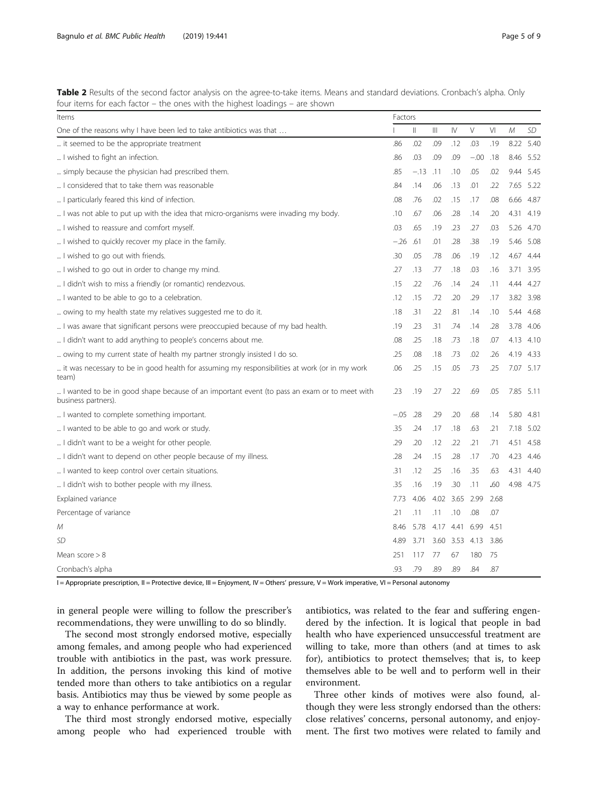| Items                                                                                                              |        |              | Factors               |                        |           |        |      |        |  |  |  |
|--------------------------------------------------------------------------------------------------------------------|--------|--------------|-----------------------|------------------------|-----------|--------|------|--------|--|--|--|
| One of the reasons why I have been led to take antibiotics was that                                                |        | $\mathsf{I}$ | $\parallel \parallel$ | $\mathsf{I}\mathsf{V}$ | $\vee$    | $\vee$ | М    | SD     |  |  |  |
| it seemed to be the appropriate treatment                                                                          | .86    | .02          | .09                   | .12                    | .03       | .19    | 8.22 | 5.40   |  |  |  |
| I wished to fight an infection.                                                                                    | .86    | .03          | .09                   | .09                    | $-.00$    | .18    | 8.46 | 5.52   |  |  |  |
| simply because the physician had prescribed them.                                                                  | .85    | $-.13$       | .11                   | .10                    | .05       | .02    | 9.44 | 5.45   |  |  |  |
| I considered that to take them was reasonable                                                                      | .84    | .14          | .06                   | .13                    | .01       | .22    | 7.65 | 5.22   |  |  |  |
| I particularly feared this kind of infection.                                                                      | .08    | .76          | .02                   | .15                    | .17       | .08    | 6.66 | 4.87   |  |  |  |
| I was not able to put up with the idea that micro-organisms were invading my body.                                 | .10    | .67          | .06                   | .28                    | .14       | .20    | 4.31 | 4.19   |  |  |  |
| I wished to reassure and comfort myself.                                                                           | .03    | .65          | .19                   | .23                    | .27       | .03    | 5.26 | 4.70   |  |  |  |
| I wished to quickly recover my place in the family.                                                                | $-.26$ | .61          | .01                   | .28                    | .38       | .19    | 5.46 | 5.08   |  |  |  |
| I wished to go out with friends.                                                                                   | .30    | .05          | .78                   | .06                    | .19       | .12    | 4.67 | -4.44  |  |  |  |
| I wished to go out in order to change my mind.                                                                     | .27    | .13          | .77                   | .18                    | .03       | .16    | 3.71 | 3.95   |  |  |  |
| I didn't wish to miss a friendly (or romantic) rendezvous.                                                         | .15    | .22          | .76                   | .14                    | .24       | .11    | 4.44 | 4.27   |  |  |  |
| I wanted to be able to go to a celebration.                                                                        | .12    | .15          | .72                   | .20                    | .29       | .17    | 3.82 | 3.98   |  |  |  |
| owing to my health state my relatives suggested me to do it.                                                       | .18    | .31          | .22                   | .81                    | .14       | .10    | 5.44 | 4.68   |  |  |  |
| I was aware that significant persons were preoccupied because of my bad health.                                    | .19    | .23          | .31                   | .74                    | .14       | .28    | 3.78 | 4.06   |  |  |  |
| I didn't want to add anything to people's concerns about me.                                                       | .08    | .25          | .18                   | .73                    | .18       | .07    | 4.13 | 4.10   |  |  |  |
| owing to my current state of health my partner strongly insisted I do so.                                          | .25    | .08          | .18                   | .73                    | .02       | .26    | 4.19 | 4.33   |  |  |  |
| it was necessary to be in good health for assuming my responsibilities at work (or in my work<br>team)             | .06    | .25          | .15                   | .05                    | .73       | .25    | 7.07 | 5.17   |  |  |  |
| I wanted to be in good shape because of an important event (to pass an exam or to meet with<br>business partners). | .23    | .19          | .27                   | .22                    | .69       | .05    | 7.85 | - 5.11 |  |  |  |
| I wanted to complete something important.                                                                          | $-.05$ | .28          | .29                   | .20                    | .68       | .14    | 5.80 | -4.81  |  |  |  |
| I wanted to be able to go and work or study.                                                                       | .35    | .24          | .17                   | .18                    | .63       | .21    | 7.18 | 5.02   |  |  |  |
| I didn't want to be a weight for other people.                                                                     | .29    | .20          | .12                   | .22                    | .21       | .71    | 4.51 | 4.58   |  |  |  |
| I didn't want to depend on other people because of my illness.                                                     | .28    | .24          | .15                   | .28                    | .17       | .70    | 4.23 | 4.46   |  |  |  |
| I wanted to keep control over certain situations.                                                                  | .31    | .12          | .25                   | .16                    | .35       | .63    | 4.31 | 4.40   |  |  |  |
| I didn't wish to bother people with my illness.                                                                    | .35    | .16          | .19                   | .30                    | .11       | .60    | 4.98 | 4.75   |  |  |  |
| Explained variance                                                                                                 | 7.73   | 4.06         | 4.02                  | 3.65                   | 2.99      | 2.68   |      |        |  |  |  |
| Percentage of variance                                                                                             | .21    | .11          | .11                   | .10                    | .08       | .07    |      |        |  |  |  |
| М                                                                                                                  | 8.46   | 5.78         | 4.17                  | 4.41                   | 6.99      | 4.51   |      |        |  |  |  |
| <b>SD</b>                                                                                                          | 4.89   | 3.71         | 3.60                  |                        | 3.53 4.13 | 3.86   |      |        |  |  |  |
| Mean score $> 8$                                                                                                   | 251    | 117          | 77                    | 67                     | 180       | 75     |      |        |  |  |  |
| Cronbach's alpha                                                                                                   | .93    | .79          | .89                   | .89                    | .84       | .87    |      |        |  |  |  |

<span id="page-4-0"></span>Table 2 Results of the second factor analysis on the agree-to-take items. Means and standard deviations. Cronbach's alpha. Only four items for each factor – the ones with the highest loadings – are shown

I = Appropriate prescription, II = Protective device, III = Enjoyment, IV = Others' pressure, V = Work imperative, VI = Personal autonomy

in general people were willing to follow the prescriber's recommendations, they were unwilling to do so blindly.

The second most strongly endorsed motive, especially among females, and among people who had experienced trouble with antibiotics in the past, was work pressure. In addition, the persons invoking this kind of motive tended more than others to take antibiotics on a regular basis. Antibiotics may thus be viewed by some people as a way to enhance performance at work.

The third most strongly endorsed motive, especially among people who had experienced trouble with antibiotics, was related to the fear and suffering engendered by the infection. It is logical that people in bad health who have experienced unsuccessful treatment are willing to take, more than others (and at times to ask for), antibiotics to protect themselves; that is, to keep themselves able to be well and to perform well in their environment.

Three other kinds of motives were also found, although they were less strongly endorsed than the others: close relatives' concerns, personal autonomy, and enjoyment. The first two motives were related to family and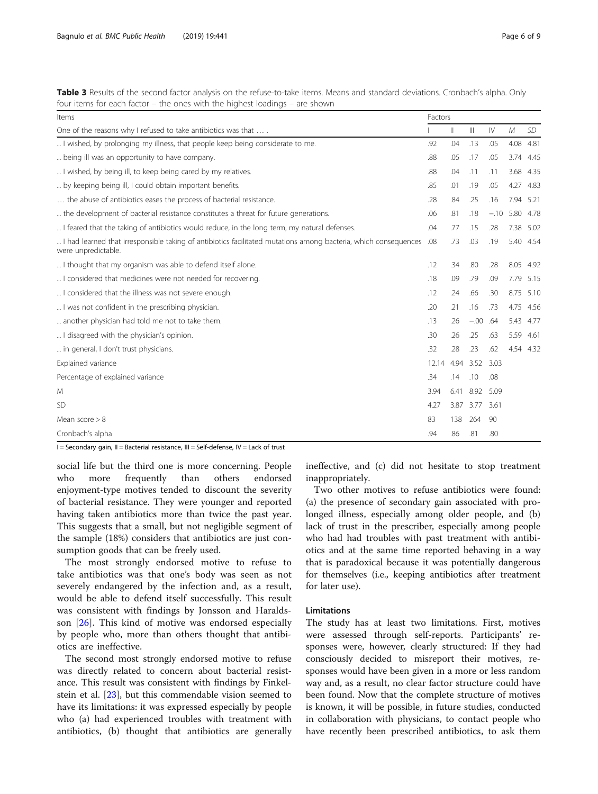| Items                                                                                                                                      |       |                                                                                                                                                                                                                                                                                                                                                                                                                              | Factors        |      |                  |           |  |  |  |
|--------------------------------------------------------------------------------------------------------------------------------------------|-------|------------------------------------------------------------------------------------------------------------------------------------------------------------------------------------------------------------------------------------------------------------------------------------------------------------------------------------------------------------------------------------------------------------------------------|----------------|------|------------------|-----------|--|--|--|
| One of the reasons why I refused to take antibiotics was that                                                                              |       | $\label{eq:1} \prod_{i=1}^n \alpha_i \, \prod_{i=1}^n \alpha_i \, \prod_{i=1}^n \alpha_i \, \prod_{i=1}^n \alpha_i \, \prod_{i=1}^n \alpha_i \, \prod_{i=1}^n \alpha_i \, \prod_{i=1}^n \alpha_i \, \prod_{i=1}^n \alpha_i \, \prod_{i=1}^n \alpha_i \, \prod_{i=1}^n \alpha_i \, \prod_{i=1}^n \alpha_i \, \prod_{i=1}^n \alpha_i \, \prod_{i=1}^n \alpha_i \, \prod_{i=1}^n \alpha_i \, \prod_{i=1}^n \alpha_i \, \prod_{$ | $\mathbb{H}$   | IV   | M                | SD        |  |  |  |
| I wished, by prolonging my illness, that people keep being considerate to me.                                                              | .92   | .04                                                                                                                                                                                                                                                                                                                                                                                                                          | .13            | .05  | 4.08 4.81        |           |  |  |  |
| being ill was an opportunity to have company.                                                                                              | .88   | .05                                                                                                                                                                                                                                                                                                                                                                                                                          | .17            | .05  | 3.74 4.45        |           |  |  |  |
| I wished, by being ill, to keep being cared by my relatives.                                                                               | .88   | .04                                                                                                                                                                                                                                                                                                                                                                                                                          | .11            | .11  | 3.68 4.35        |           |  |  |  |
| by keeping being ill, I could obtain important benefits.                                                                                   | .85   | .01                                                                                                                                                                                                                                                                                                                                                                                                                          | .19            | .05  | 4.27 4.83        |           |  |  |  |
| the abuse of antibiotics eases the process of bacterial resistance.                                                                        | .28   | .84                                                                                                                                                                                                                                                                                                                                                                                                                          | .25            | .16  | 7.94 5.21        |           |  |  |  |
| the development of bacterial resistance constitutes a threat for future generations.                                                       | .06   | .81                                                                                                                                                                                                                                                                                                                                                                                                                          | .18            |      | $-.10$ 5.80 4.78 |           |  |  |  |
| I feared that the taking of antibiotics would reduce, in the long term, my natural defenses.                                               | .04   | .77                                                                                                                                                                                                                                                                                                                                                                                                                          | .15            | .28  | 7.38             | 5.02      |  |  |  |
| I had learned that irresponsible taking of antibiotics facilitated mutations among bacteria, which consequences .08<br>were unpredictable. |       | .73                                                                                                                                                                                                                                                                                                                                                                                                                          | .03            | .19  | 5.40 4.54        |           |  |  |  |
| I thought that my organism was able to defend itself alone.                                                                                | .12   | .34                                                                                                                                                                                                                                                                                                                                                                                                                          | .80            | .28  | 8.05 4.92        |           |  |  |  |
| I considered that medicines were not needed for recovering.                                                                                | .18   | .09                                                                                                                                                                                                                                                                                                                                                                                                                          | .79            | .09  | 7.79             | 5.15      |  |  |  |
| I considered that the illness was not severe enough.                                                                                       | .12   | .24                                                                                                                                                                                                                                                                                                                                                                                                                          | .66            | .30  | 8.75 5.10        |           |  |  |  |
| I was not confident in the prescribing physician.                                                                                          | .20   | .21                                                                                                                                                                                                                                                                                                                                                                                                                          | .16            | .73  | 4.75             | - 4.56    |  |  |  |
| another physician had told me not to take them.                                                                                            | .13   | .26                                                                                                                                                                                                                                                                                                                                                                                                                          | $-.00$         | .64  |                  | 5.43 4.77 |  |  |  |
| I disagreed with the physician's opinion.                                                                                                  | .30   | .26                                                                                                                                                                                                                                                                                                                                                                                                                          | .25            | .63  | 5.59 4.61        |           |  |  |  |
| in general, I don't trust physicians.                                                                                                      | .32   | .28                                                                                                                                                                                                                                                                                                                                                                                                                          | .23            | .62  | 4.54 4.32        |           |  |  |  |
| Explained variance                                                                                                                         | 12.14 |                                                                                                                                                                                                                                                                                                                                                                                                                              | 4.94 3.52 3.03 |      |                  |           |  |  |  |
| Percentage of explained variance                                                                                                           | .34   | .14                                                                                                                                                                                                                                                                                                                                                                                                                          | .10            | .08  |                  |           |  |  |  |
| M                                                                                                                                          | 3.94  | 6.41                                                                                                                                                                                                                                                                                                                                                                                                                         | 8.92           | 5.09 |                  |           |  |  |  |
| <b>SD</b>                                                                                                                                  | 4.27  | 3.87                                                                                                                                                                                                                                                                                                                                                                                                                         | 3.77           | 3.61 |                  |           |  |  |  |
| Mean score $> 8$                                                                                                                           | 83    | 138                                                                                                                                                                                                                                                                                                                                                                                                                          | 264            | 90   |                  |           |  |  |  |
| Cronbach's alpha                                                                                                                           | .94   | .86                                                                                                                                                                                                                                                                                                                                                                                                                          | .81            | .80  |                  |           |  |  |  |

<span id="page-5-0"></span>Table 3 Results of the second factor analysis on the refuse-to-take items. Means and standard deviations. Cronbach's alpha. Only four items for each factor – the ones with the highest loadings – are shown

I = Secondary gain, II = Bacterial resistance, III = Self-defense, IV = Lack of trust

social life but the third one is more concerning. People who more frequently than others endorsed enjoyment-type motives tended to discount the severity of bacterial resistance. They were younger and reported having taken antibiotics more than twice the past year. This suggests that a small, but not negligible segment of the sample (18%) considers that antibiotics are just consumption goods that can be freely used.

The most strongly endorsed motive to refuse to take antibiotics was that one's body was seen as not severely endangered by the infection and, as a result, would be able to defend itself successfully. This result was consistent with findings by Jonsson and Haraldsson [[26\]](#page-8-0). This kind of motive was endorsed especially by people who, more than others thought that antibiotics are ineffective.

The second most strongly endorsed motive to refuse was directly related to concern about bacterial resistance. This result was consistent with findings by Finkelstein et al. [\[23](#page-8-0)], but this commendable vision seemed to have its limitations: it was expressed especially by people who (a) had experienced troubles with treatment with antibiotics, (b) thought that antibiotics are generally

ineffective, and (c) did not hesitate to stop treatment inappropriately.

Two other motives to refuse antibiotics were found: (a) the presence of secondary gain associated with prolonged illness, especially among older people, and (b) lack of trust in the prescriber, especially among people who had had troubles with past treatment with antibiotics and at the same time reported behaving in a way that is paradoxical because it was potentially dangerous for themselves (i.e., keeping antibiotics after treatment for later use).

#### Limitations

The study has at least two limitations. First, motives were assessed through self-reports. Participants' responses were, however, clearly structured: If they had consciously decided to misreport their motives, responses would have been given in a more or less random way and, as a result, no clear factor structure could have been found. Now that the complete structure of motives is known, it will be possible, in future studies, conducted in collaboration with physicians, to contact people who have recently been prescribed antibiotics, to ask them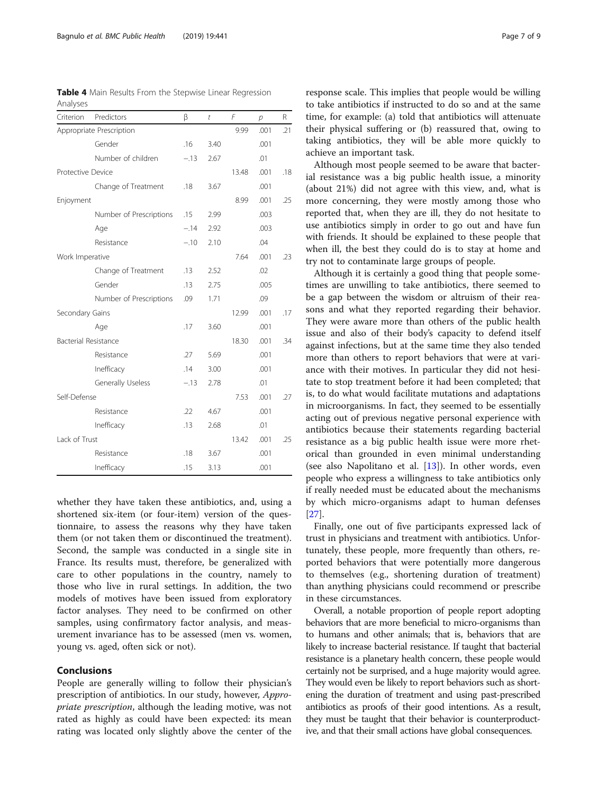Analyses

<span id="page-6-0"></span>Table 4 Main Results From the Stepwise Linear Regression

| Criterion                | Predictors              | β      | t    | F     | $\mathcal{D}$ | R   |
|--------------------------|-------------------------|--------|------|-------|---------------|-----|
| Appropriate Prescription |                         |        |      | 9.99  | .001          | .21 |
|                          | Gender                  | .16    | 3.40 |       | .001          |     |
|                          | Number of children      | $-.13$ | 2.67 |       | .01           |     |
| Protective Device        |                         |        |      | 13.48 | .001          | .18 |
|                          | Change of Treatment     | .18    | 3.67 |       | .001          |     |
| Enjoyment                |                         |        |      | 8.99  | .001          | .25 |
|                          | Number of Prescriptions | .15    | 2.99 |       | .003          |     |
|                          | Age                     | $-.14$ | 2.92 |       | .003          |     |
|                          | Resistance              | $-.10$ | 2.10 |       | .04           |     |
| Work Imperative          |                         |        |      | 7.64  | .001          | .23 |
|                          | Change of Treatment     | .13    | 2.52 |       | .02           |     |
|                          | Gender                  | .13    | 2.75 |       | .005          |     |
|                          | Number of Prescriptions | .09    | 1.71 |       | .09           |     |
| Secondary Gains          |                         |        |      | 12.99 | .001          | .17 |
|                          | Age                     | .17    | 3.60 |       | .001          |     |
| Bacterial Resistance     |                         |        |      | 18.30 | .001          | .34 |
|                          | Resistance              | .27    | 5.69 |       | .001          |     |
|                          | Inefficacy              | .14    | 3.00 |       | .001          |     |
|                          | Generally Useless       | $-.13$ | 2.78 |       | .01           |     |
| Self-Defense             |                         |        |      | 7.53  | .001          | .27 |
|                          | Resistance              | .22    | 4.67 |       | .001          |     |
|                          | Inefficacy              | .13    | 2.68 |       | .01           |     |
| Lack of Trust            |                         |        |      | 13.42 | .001          | .25 |
|                          | Resistance              | .18    | 3.67 |       | .001          |     |
|                          | Inefficacy              | .15    | 3.13 |       | .001          |     |

whether they have taken these antibiotics, and, using a shortened six-item (or four-item) version of the questionnaire, to assess the reasons why they have taken them (or not taken them or discontinued the treatment). Second, the sample was conducted in a single site in France. Its results must, therefore, be generalized with care to other populations in the country, namely to those who live in rural settings. In addition, the two models of motives have been issued from exploratory factor analyses. They need to be confirmed on other samples, using confirmatory factor analysis, and measurement invariance has to be assessed (men vs. women, young vs. aged, often sick or not).

#### Conclusions

People are generally willing to follow their physician's prescription of antibiotics. In our study, however, Appropriate prescription, although the leading motive, was not rated as highly as could have been expected: its mean rating was located only slightly above the center of the

response scale. This implies that people would be willing to take antibiotics if instructed to do so and at the same time, for example: (a) told that antibiotics will attenuate their physical suffering or (b) reassured that, owing to taking antibiotics, they will be able more quickly to achieve an important task.

Although most people seemed to be aware that bacterial resistance was a big public health issue, a minority (about 21%) did not agree with this view, and, what is more concerning, they were mostly among those who reported that, when they are ill, they do not hesitate to use antibiotics simply in order to go out and have fun with friends. It should be explained to these people that when ill, the best they could do is to stay at home and try not to contaminate large groups of people.

Although it is certainly a good thing that people sometimes are unwilling to take antibiotics, there seemed to be a gap between the wisdom or altruism of their reasons and what they reported regarding their behavior. They were aware more than others of the public health issue and also of their body's capacity to defend itself against infections, but at the same time they also tended more than others to report behaviors that were at variance with their motives. In particular they did not hesitate to stop treatment before it had been completed; that is, to do what would facilitate mutations and adaptations in microorganisms. In fact, they seemed to be essentially acting out of previous negative personal experience with antibiotics because their statements regarding bacterial resistance as a big public health issue were more rhetorical than grounded in even minimal understanding (see also Napolitano et al.  $[13]$ ). In other words, even people who express a willingness to take antibiotics only if really needed must be educated about the mechanisms by which micro-organisms adapt to human defenses [[27\]](#page-8-0).

Finally, one out of five participants expressed lack of trust in physicians and treatment with antibiotics. Unfortunately, these people, more frequently than others, reported behaviors that were potentially more dangerous to themselves (e.g., shortening duration of treatment) than anything physicians could recommend or prescribe in these circumstances.

Overall, a notable proportion of people report adopting behaviors that are more beneficial to micro-organisms than to humans and other animals; that is, behaviors that are likely to increase bacterial resistance. If taught that bacterial resistance is a planetary health concern, these people would certainly not be surprised, and a huge majority would agree. They would even be likely to report behaviors such as shortening the duration of treatment and using past-prescribed antibiotics as proofs of their good intentions. As a result, they must be taught that their behavior is counterproductive, and that their small actions have global consequences.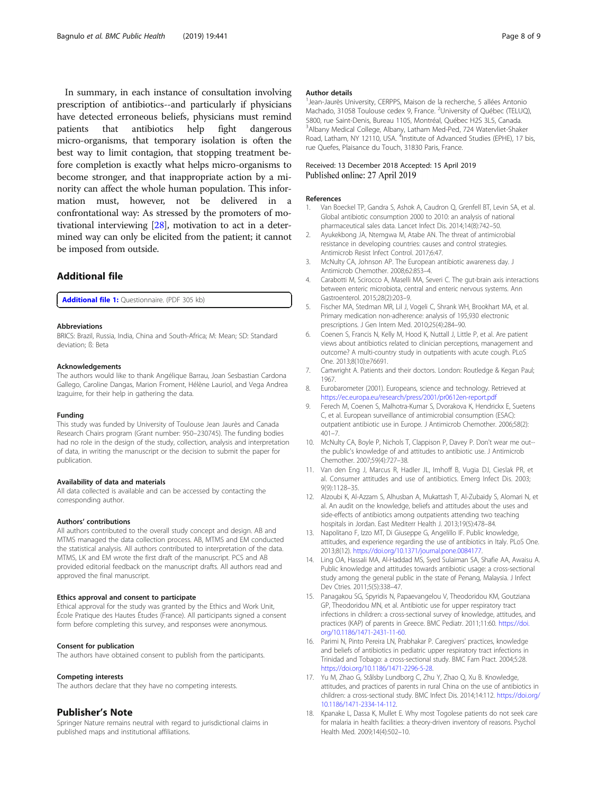<span id="page-7-0"></span>In summary, in each instance of consultation involving prescription of antibiotics--and particularly if physicians have detected erroneous beliefs, physicians must remind patients that antibiotics help fight dangerous micro-organisms, that temporary isolation is often the best way to limit contagion, that stopping treatment before completion is exactly what helps micro-organisms to become stronger, and that inappropriate action by a minority can affect the whole human population. This information must, however, not be delivered in a confrontational way: As stressed by the promoters of motivational interviewing [[28](#page-8-0)], motivation to act in a determined way can only be elicited from the patient; it cannot be imposed from outside.

### Additional file

[Additional file 1:](https://doi.org/10.1186/s12889-019-6834-x) Questionnaire. (PDF 305 kb)

#### Abbreviations

BRICS: Brazil, Russia, India, China and South-Africa; M: Mean; SD: Standard deviation; ß: Beta

#### Acknowledgements

The authors would like to thank Angélique Barrau, Joan Sesbastian Cardona Gallego, Caroline Dangas, Marion Froment, Hélène Lauriol, and Vega Andrea Izaguirre, for their help in gathering the data.

#### Funding

This study was funded by University of Toulouse Jean Jaurès and Canada Research Chairs program (Grant number: 950–230745). The funding bodies had no role in the design of the study, collection, analysis and interpretation of data, in writing the manuscript or the decision to submit the paper for publication.

#### Availability of data and materials

All data collected is available and can be accessed by contacting the corresponding author.

#### Authors' contributions

All authors contributed to the overall study concept and design. AB and MTMS managed the data collection process. AB, MTMS and EM conducted the statistical analysis. All authors contributed to interpretation of the data. MTMS, LK and EM wrote the first draft of the manuscript. PCS and AB provided editorial feedback on the manuscript drafts. All authors read and approved the final manuscript.

#### Ethics approval and consent to participate

Ethical approval for the study was granted by the Ethics and Work Unit, École Pratique des Hautes Études (France). All participants signed a consent form before completing this survey, and responses were anonymous.

#### Consent for publication

The authors have obtained consent to publish from the participants.

#### Competing interests

The authors declare that they have no competing interests.

#### Publisher's Note

Springer Nature remains neutral with regard to jurisdictional claims in published maps and institutional affiliations.

#### Author details

<sup>1</sup> Jean-Jaurès University, CERPPS, Maison de la recherche, 5 allées Antonic Machado, 31058 Toulouse cedex 9, France. <sup>2</sup>University of Québec (TELUQ), 5800, rue Saint-Denis, Bureau 1105, Montréal, Québec H2S 3L5, Canada. 3 Albany Medical College, Albany, Latham Med-Ped, 724 Watervliet-Shaker Road, Latham, NY 12110, USA. <sup>4</sup>Institute of Advanced Studies (EPHE), 17 bis rue Quefes, Plaisance du Touch, 31830 Paris, France.

#### Received: 13 December 2018 Accepted: 15 April 2019 Published online: 27 April 2019

#### References

- 1. Van Boeckel TP, Gandra S, Ashok A, Caudron Q, Grenfell BT, Levin SA, et al. Global antibiotic consumption 2000 to 2010: an analysis of national pharmaceutical sales data. Lancet Infect Dis. 2014;14(8):742–50.
- 2. Ayukekbong JA, Ntemgwa M, Atabe AN. The threat of antimicrobial resistance in developing countries: causes and control strategies. Antimicrob Resist Infect Control. 2017;6:47.
- 3. McNulty CA, Johnson AP. The European antibiotic awareness day. J Antimicrob Chemother. 2008;62:853–4.
- 4. Carabotti M, Scirocco A, Maselli MA, Severi C. The gut-brain axis interactions between enteric microbiota, central and enteric nervous systems. Ann Gastroenterol. 2015;28(2):203–9.
- 5. Fischer MA, Stedman MR, Lil J, Vogeli C, Shrank WH, Brookhart MA, et al. Primary medication non-adherence: analysis of 195,930 electronic prescriptions. J Gen Intern Med. 2010;25(4):284–90.
- 6. Coenen S, Francis N, Kelly M, Hood K, Nuttall J, Little P, et al. Are patient views about antibiotics related to clinician perceptions, management and outcome? A multi-country study in outpatients with acute cough. PLoS One. 2013;8(10):e76691.
- 7. Cartwright A. Patients and their doctors. London: Routledge & Kegan Paul; 1967.
- 8. Eurobarometer (2001). Europeans, science and technology. Retrieved at <https://ec.europa.eu/research/press/2001/pr0612en-report.pdf>
- 9. Ferech M, Coenen S, Malhotra-Kumar S, Dvorakova K, Hendrickx E, Suetens C, et al. European surveillance of antimicrobial consumption (ESAC): outpatient antibiotic use in Europe. J Antimicrob Chemother. 2006;58(2): 401–7.
- 10. McNulty CA, Boyle P, Nichols T, Clappison P, Davey P. Don't wear me out- the public's knowledge of and attitudes to antibiotic use. J Antimicrob Chemother. 2007;59(4):727–38.
- 11. Van den Eng J, Marcus R, Hadler JL, Imhoff B, Vugia DJ, Cieslak PR, et al. Consumer attitudes and use of antibiotics. Emerg Infect Dis. 2003; 9(9):1128–35.
- 12. Alzoubi K, Al-Azzam S, Alhusban A, Mukattash T, Al-Zubaidy S, Alomari N, et al. An audit on the knowledge, beliefs and attitudes about the uses and side-effects of antibiotics among outpatients attending two teaching hospitals in Jordan. East Mediterr Health J. 2013;19(5):478–84.
- 13. Napolitano F, Izzo MT, Di Giuseppe G, Angelillo IF. Public knowledge, attitudes, and experience regarding the use of antibiotics in Italy. PLoS One. 2013;8(12). [https://doi.org/10.1371/journal.pone.0084177.](https://doi.org/10.1371/journal.pone.0084177)
- 14. Ling OA, Hassali MA, Al-Haddad MS, Syed Sulaiman SA, Shafie AA, Awaisu A. Public knowledge and attitudes towards antibiotic usage: a cross-sectional study among the general public in the state of Penang, Malaysia. J Infect Dev Ctries. 2011;5(5):338–47.
- 15. Panagakou SG, Spyridis N, Papaevangelou V, Theodoridou KM, Goutziana GP, Theodoridou MN, et al. Antibiotic use for upper respiratory tract infections in children: a cross-sectional survey of knowledge, attitudes, and practices (KAP) of parents in Greece. BMC Pediatr. 2011;11:60. [https://doi.](https://doi.org/10.1186/1471-2431-11-60) [org/10.1186/1471-2431-11-60](https://doi.org/10.1186/1471-2431-11-60).
- 16. Parimi N, Pinto Pereira LN, Prabhakar P. Caregivers' practices, knowledge and beliefs of antibiotics in pediatric upper respiratory tract infections in Trinidad and Tobago: a cross-sectional study. BMC Fam Pract. 2004;5:28. [https://doi.org/10.1186/1471-2296-5-28.](https://doi.org/10.1186/1471-2296-5-28)
- 17. Yu M, Zhao G, Stålsby Lundborg C, Zhu Y, Zhao Q, Xu B. Knowledge, attitudes, and practices of parents in rural China on the use of antibiotics in children: a cross-sectional study. BMC Infect Dis. 2014;14:112. [https://doi.org/](https://doi.org/10.1186/1471-2334-14-112) [10.1186/1471-2334-14-112](https://doi.org/10.1186/1471-2334-14-112).
- 18. Kpanake L, Dassa K, Mullet E. Why most Togolese patients do not seek care for malaria in health facilities: a theory-driven inventory of reasons. Psychol Health Med. 2009;14(4):502–10.